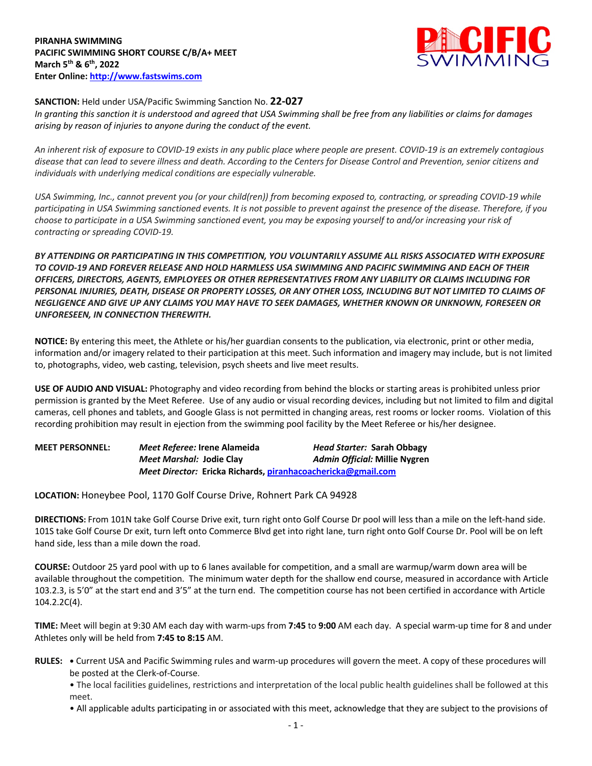

## **SANCTION:** Held under USA/Pacific Swimming Sanction No. **22-027**

*In granting this sanction it is understood and agreed that USA Swimming shall be free from any liabilities or claims for damages arising by reason of injuries to anyone during the conduct of the event.* 

*An inherent risk of exposure to COVID-19 exists in any public place where people are present. COVID-19 is an extremely contagious disease that can lead to severe illness and death. According to the Centers for Disease Control and Prevention, senior citizens and individuals with underlying medical conditions are especially vulnerable.*

*USA Swimming, Inc., cannot prevent you (or your child(ren)) from becoming exposed to, contracting, or spreading COVID-19 while participating in USA Swimming sanctioned events. It is not possible to prevent against the presence of the disease. Therefore, if you choose to participate in a USA Swimming sanctioned event, you may be exposing yourself to and/or increasing your risk of contracting or spreading COVID-19.*

*BY ATTENDING OR PARTICIPATING IN THIS COMPETITION, YOU VOLUNTARILY ASSUME ALL RISKS ASSOCIATED WITH EXPOSURE TO COVID-19 AND FOREVER RELEASE AND HOLD HARMLESS USA SWIMMING AND PACIFIC SWIMMING AND EACH OF THEIR OFFICERS, DIRECTORS, AGENTS, EMPLOYEES OR OTHER REPRESENTATIVES FROM ANY LIABILITY OR CLAIMS INCLUDING FOR PERSONAL INJURIES, DEATH, DISEASE OR PROPERTY LOSSES, OR ANY OTHER LOSS, INCLUDING BUT NOT LIMITED TO CLAIMS OF NEGLIGENCE AND GIVE UP ANY CLAIMS YOU MAY HAVE TO SEEK DAMAGES, WHETHER KNOWN OR UNKNOWN, FORESEEN OR UNFORESEEN, IN CONNECTION THEREWITH.*

**NOTICE:** By entering this meet, the Athlete or his/her guardian consents to the publication, via electronic, print or other media, information and/or imagery related to their participation at this meet. Such information and imagery may include, but is not limited to, photographs, video, web casting, television, psych sheets and live meet results.

**USE OF AUDIO AND VISUAL:** Photography and video recording from behind the blocks or starting areas is prohibited unless prior permission is granted by the Meet Referee. Use of any audio or visual recording devices, including but not limited to film and digital cameras, cell phones and tablets, and Google Glass is not permitted in changing areas, rest rooms or locker rooms. Violation of this recording prohibition may result in ejection from the swimming pool facility by the Meet Referee or his/her designee.

| <b>MEET PERSONNEL:</b> | Meet Referee: Irene Alameida                                 | Head Starter: Sarah Obbagy    |
|------------------------|--------------------------------------------------------------|-------------------------------|
|                        | Meet Marshal: Jodie Clay                                     | Admin Official: Millie Nygren |
|                        | Meet Director: Ericka Richards, piranhacoachericka@gmail.com |                               |

**LOCATION:** Honeybee Pool, 1170 Golf Course Drive, Rohnert Park CA 94928

**DIRECTIONS:** From 101N take Golf Course Drive exit, turn right onto Golf Course Dr pool will less than a mile on the left-hand side. 101S take Golf Course Dr exit, turn left onto Commerce Blvd get into right lane, turn right onto Golf Course Dr. Pool will be on left hand side, less than a mile down the road.

**COURSE:** Outdoor 25 yard pool with up to 6 lanes available for competition, and a small are warmup/warm down area will be available throughout the competition. The minimum water depth for the shallow end course, measured in accordance with Article 103.2.3, is 5'0" at the start end and 3'5" at the turn end. The competition course has not been certified in accordance with Article 104.2.2C(4).

**TIME:** Meet will begin at 9:30 AM each day with warm-ups from **7:45** to **9:00** AM each day. A special warm-up time for 8 and under Athletes only will be held from **7:45 to 8:15** AM.

**RULES: •** Current USA and Pacific Swimming rules and warm-up procedures will govern the meet. A copy of these procedures will be posted at the Clerk-of-Course.

• The local facilities guidelines, restrictions and interpretation of the local public health guidelines shall be followed at this meet.

• All applicable adults participating in or associated with this meet, acknowledge that they are subject to the provisions of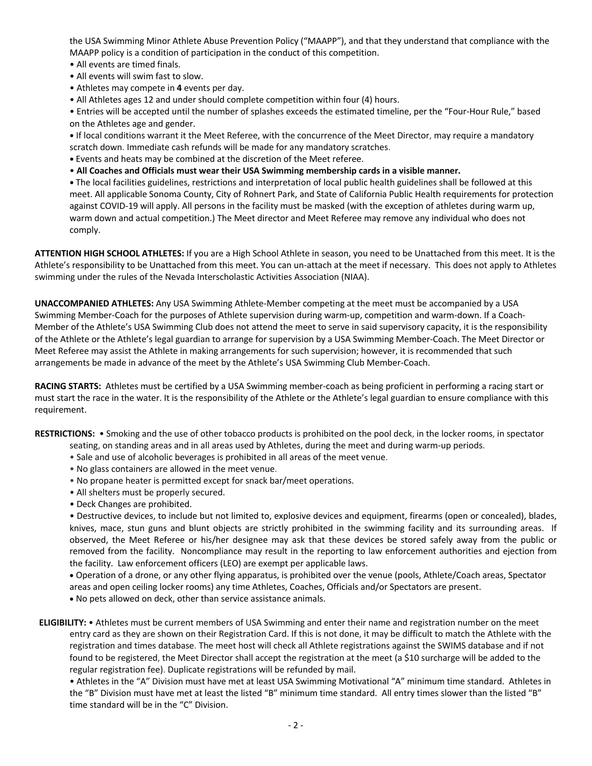the USA Swimming Minor Athlete Abuse Prevention Policy ("MAAPP"), and that they understand that compliance with the MAAPP policy is a condition of participation in the conduct of this competition.

- All events are timed finals.
- All events will swim fast to slow.
- Athletes may compete in **4** events per day.
- All Athletes ages 12 and under should complete competition within four (4) hours.

• Entries will be accepted until the number of splashes exceeds the estimated timeline, per the "Four-Hour Rule," based on the Athletes age and gender.

**•** If local conditions warrant it the Meet Referee, with the concurrence of the Meet Director, may require a mandatory scratch down. Immediate cash refunds will be made for any mandatory scratches.

- **•** Events and heats may be combined at the discretion of the Meet referee.
- **All Coaches and Officials must wear their USA Swimming membership cards in a visible manner.**

**•** The local facilities guidelines, restrictions and interpretation of local public health guidelines shall be followed at this meet. All applicable Sonoma County, City of Rohnert Park, and State of California Public Health requirements for protection against COVID-19 will apply. All persons in the facility must be masked (with the exception of athletes during warm up, warm down and actual competition.) The Meet director and Meet Referee may remove any individual who does not comply.

**ATTENTION HIGH SCHOOL ATHLETES:** If you are a High School Athlete in season, you need to be Unattached from this meet. It is the Athlete's responsibility to be Unattached from this meet. You can un-attach at the meet if necessary. This does not apply to Athletes swimming under the rules of the Nevada Interscholastic Activities Association (NIAA).

**UNACCOMPANIED ATHLETES:** Any USA Swimming Athlete-Member competing at the meet must be accompanied by a USA Swimming Member-Coach for the purposes of Athlete supervision during warm-up, competition and warm-down. If a Coach-Member of the Athlete's USA Swimming Club does not attend the meet to serve in said supervisory capacity, it is the responsibility of the Athlete or the Athlete's legal guardian to arrange for supervision by a USA Swimming Member-Coach. The Meet Director or Meet Referee may assist the Athlete in making arrangements for such supervision; however, it is recommended that such arrangements be made in advance of the meet by the Athlete's USA Swimming Club Member-Coach.

**RACING STARTS:** Athletes must be certified by a USA Swimming member-coach as being proficient in performing a racing start or must start the race in the water. It is the responsibility of the Athlete or the Athlete's legal guardian to ensure compliance with this requirement.

**RESTRICTIONS:** • Smoking and the use of other tobacco products is prohibited on the pool deck, in the locker rooms, in spectator

- seating, on standing areas and in all areas used by Athletes, during the meet and during warm-up periods.
- Sale and use of alcoholic beverages is prohibited in all areas of the meet venue.
- No glass containers are allowed in the meet venue.
- No propane heater is permitted except for snack bar/meet operations.
- All shelters must be properly secured.
- Deck Changes are prohibited.

• Destructive devices, to include but not limited to, explosive devices and equipment, firearms (open or concealed), blades, knives, mace, stun guns and blunt objects are strictly prohibited in the swimming facility and its surrounding areas. If observed, the Meet Referee or his/her designee may ask that these devices be stored safely away from the public or removed from the facility. Noncompliance may result in the reporting to law enforcement authorities and ejection from the facility. Law enforcement officers (LEO) are exempt per applicable laws.

• Operation of a drone, or any other flying apparatus, is prohibited over the venue (pools, Athlete/Coach areas, Spectator areas and open ceiling locker rooms) any time Athletes, Coaches, Officials and/or Spectators are present.

- No pets allowed on deck, other than service assistance animals.
- **ELIGIBILITY:** Athletes must be current members of USA Swimming and enter their name and registration number on the meet entry card as they are shown on their Registration Card. If this is not done, it may be difficult to match the Athlete with the registration and times database. The meet host will check all Athlete registrations against the SWIMS database and if not found to be registered, the Meet Director shall accept the registration at the meet (a \$10 surcharge will be added to the regular registration fee). Duplicate registrations will be refunded by mail.

• Athletes in the "A" Division must have met at least USA Swimming Motivational "A" minimum time standard. Athletes in the "B" Division must have met at least the listed "B" minimum time standard. All entry times slower than the listed "B" time standard will be in the "C" Division.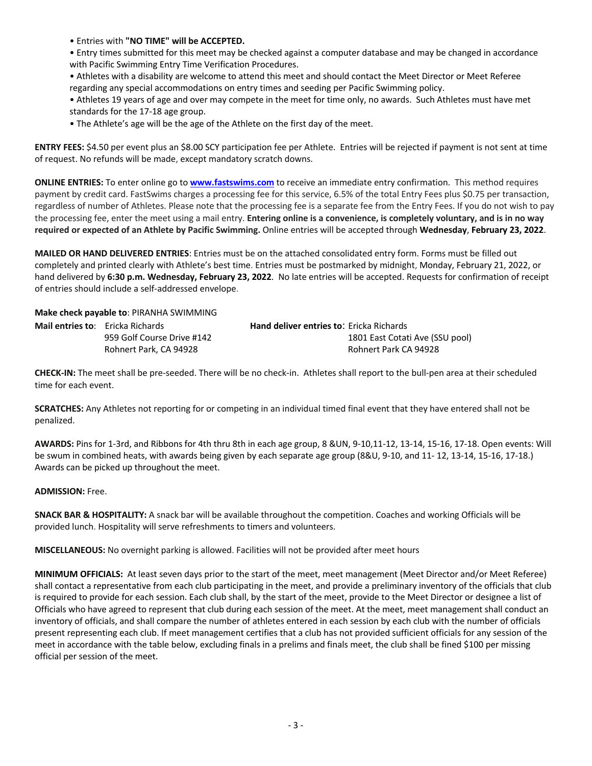• Entries with **"NO TIME" will be ACCEPTED.**

• Entry times submitted for this meet may be checked against a computer database and may be changed in accordance with Pacific Swimming Entry Time Verification Procedures.

• Athletes with a disability are welcome to attend this meet and should contact the Meet Director or Meet Referee regarding any special accommodations on entry times and seeding per Pacific Swimming policy.

• Athletes 19 years of age and over may compete in the meet for time only, no awards. Such Athletes must have met standards for the 17-18 age group.

• The Athlete's age will be the age of the Athlete on the first day of the meet.

**ENTRY FEES:** \$4.50 per event plus an \$8.00 SCY participation fee per Athlete. Entries will be rejected if payment is not sent at time of request. No refunds will be made, except mandatory scratch downs.

**ONLINE ENTRIES:** To enter online go to **www.fastswims.com** to receive an immediate entry confirmation. This method requires payment by credit card. FastSwims charges a processing fee for this service, 6.5% of the total Entry Fees plus \$0.75 per transaction, regardless of number of Athletes. Please note that the processing fee is a separate fee from the Entry Fees. If you do not wish to pay the processing fee, enter the meet using a mail entry. **Entering online is a convenience, is completely voluntary, and is in no way required or expected of an Athlete by Pacific Swimming.** Online entries will be accepted through **Wednesday**, **February 23, 2022**.

**MAILED OR HAND DELIVERED ENTRIES**: Entries must be on the attached consolidated entry form. Forms must be filled out completely and printed clearly with Athlete's best time. Entries must be postmarked by midnight, Monday, February 21, 2022, or hand delivered by **6:30 p.m. Wednesday, February 23, 2022**. No late entries will be accepted. Requests for confirmation of receipt of entries should include a self-addressed envelope.

**Make check payable to**: PIRANHA SWIMMING

| <b>Mail entries to:</b> Ericka Richards |                            | <b>Hand deliver entries to: Ericka Richards</b> |
|-----------------------------------------|----------------------------|-------------------------------------------------|
|                                         | 959 Golf Course Drive #142 | 1801 East Cotati Ave (SSU pool)                 |
| Rohnert Park, CA 94928                  |                            | Rohnert Park CA 94928                           |

**CHECK-IN:** The meet shall be pre-seeded. There will be no check-in. Athletes shall report to the bull-pen area at their scheduled time for each event.

**SCRATCHES:** Any Athletes not reporting for or competing in an individual timed final event that they have entered shall not be penalized.

**AWARDS:** Pins for 1-3rd, and Ribbons for 4th thru 8th in each age group, 8 &UN, 9-10,11-12, 13-14, 15-16, 17-18. Open events: Will be swum in combined heats, with awards being given by each separate age group (8&U, 9-10, and 11- 12, 13-14, 15-16, 17-18.) Awards can be picked up throughout the meet.

## **ADMISSION:** Free.

**SNACK BAR & HOSPITALITY:** A snack bar will be available throughout the competition. Coaches and working Officials will be provided lunch. Hospitality will serve refreshments to timers and volunteers.

**MISCELLANEOUS:** No overnight parking is allowed. Facilities will not be provided after meet hours

**MINIMUM OFFICIALS:** At least seven days prior to the start of the meet, meet management (Meet Director and/or Meet Referee) shall contact a representative from each club participating in the meet, and provide a preliminary inventory of the officials that club is required to provide for each session. Each club shall, by the start of the meet, provide to the Meet Director or designee a list of Officials who have agreed to represent that club during each session of the meet. At the meet, meet management shall conduct an inventory of officials, and shall compare the number of athletes entered in each session by each club with the number of officials present representing each club. If meet management certifies that a club has not provided sufficient officials for any session of the meet in accordance with the table below, excluding finals in a prelims and finals meet, the club shall be fined \$100 per missing official per session of the meet.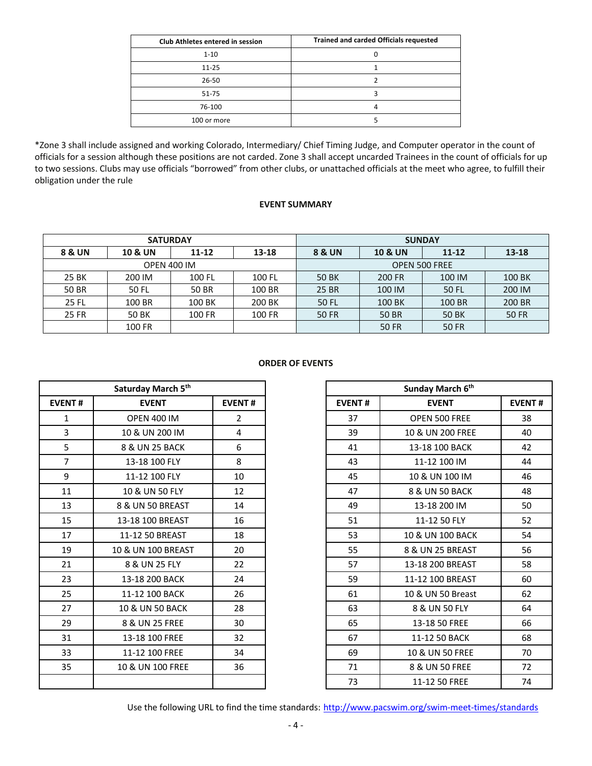| <b>Club Athletes entered in session</b> | <b>Trained and carded Officials requested</b> |  |  |  |  |  |
|-----------------------------------------|-----------------------------------------------|--|--|--|--|--|
| $1 - 10$                                |                                               |  |  |  |  |  |
| $11 - 25$                               |                                               |  |  |  |  |  |
| $26 - 50$                               |                                               |  |  |  |  |  |
| 51-75                                   |                                               |  |  |  |  |  |
| 76-100                                  |                                               |  |  |  |  |  |
| 100 or more                             |                                               |  |  |  |  |  |

\*Zone 3 shall include assigned and working Colorado, Intermediary/ Chief Timing Judge, and Computer operator in the count of officials for a session although these positions are not carded. Zone 3 shall accept uncarded Trainees in the count of officials for up to two sessions. Clubs may use officials "borrowed" from other clubs, or unattached officials at the meet who agree, to fulfill their obligation under the rule

## **EVENT SUMMARY**

|        | <b>SATURDAY</b>    |           |        | <b>SUNDAY</b>        |                    |              |              |  |  |
|--------|--------------------|-----------|--------|----------------------|--------------------|--------------|--------------|--|--|
| 8 & UN | <b>10 &amp; UN</b> | $11 - 12$ | 13-18  | <b>8 &amp; UN</b>    | <b>10 &amp; UN</b> | $11 - 12$    | $13 - 18$    |  |  |
|        | <b>OPEN 400 IM</b> |           |        | <b>OPEN 500 FREE</b> |                    |              |              |  |  |
| 25 BK  | 200 IM             | 100 FL    | 100 FL | 50 BK                | 200 FR             | 100 IM       | 100 BK       |  |  |
| 50 BR  | 50 FL              | 50 BR     | 100 BR | 25 BR                | 100 IM             | <b>50 FL</b> | 200 IM       |  |  |
| 25 FL  | 100 BR             | 100 BK    | 200 BK | 50 FL                | 100 BK             | 100 BR       | 200 BR       |  |  |
| 25 FR  | 50 BK              | 100 FR    | 100 FR | <b>50 FR</b>         | <b>50 BR</b>       | <b>50 BK</b> | <b>50 FR</b> |  |  |
|        | 100 FR             |           |        |                      | <b>50 FR</b>       | <b>50 FR</b> |              |  |  |

## **ORDER OF EVENTS**

|                | Saturday March 5th |                |
|----------------|--------------------|----------------|
| <b>EVENT#</b>  | <b>EVENT</b>       | <b>EVENT#</b>  |
| $\mathbf{1}$   | <b>OPEN 400 IM</b> | $\overline{2}$ |
| $\overline{3}$ | 10 & UN 200 IM     | 4              |
| 5              | 8 & UN 25 BACK     | 6              |
| $\overline{7}$ | 13-18 100 FLY      | 8              |
| 9              | 11-12 100 FLY      | 10             |
| 11             | 10 & UN 50 FLY     | 12             |
| 13             | 8 & UN 50 BREAST   | 14             |
| 15             | 13-18 100 BREAST   | 16             |
| 17             | 11-12 50 BREAST    | 18             |
| 19             | 10 & UN 100 BREAST | 20             |
| 21             | 8 & UN 25 FLY      | 22             |
| 23             | 13-18 200 BACK     | 24             |
| 25             | 11-12 100 BACK     | 26             |
| 27             | 10 & UN 50 BACK    | 28             |
| 29             | 8 & UN 25 FREE     | 30             |
| 31             | 13-18 100 FREE     | 32             |
| 33             | 11-12 100 FREE     | 34             |
| 35             | 10 & UN 100 FREE   | 36             |
|                |                    |                |

| Saturday March 5th |                            |                |
|--------------------|----------------------------|----------------|
| <b>EVENT#</b>      | <b>EVENT</b>               | <b>EVENT#</b>  |
| 1                  | <b>OPEN 400 IM</b>         | $\overline{2}$ |
| 3                  | 10 & UN 200 IM             | 4              |
| 5                  | 8 & UN 25 BACK             | 6              |
| $\overline{7}$     | 13-18 100 FLY              | 8              |
| 9                  | 11-12 100 FLY              | 10             |
| 11                 | 10 & UN 50 FLY             | 12             |
| 13                 | 8 & UN 50 BREAST           | 14             |
| 15                 | 13-18 100 BREAST           | 16             |
| 17                 | 11-12 50 BREAST            | 18             |
| 19                 | 10 & UN 100 BREAST         | 20             |
| 21                 | 8 & UN 25 FLY              | 22             |
| 23                 | 13-18 200 BACK             | 24             |
| 25                 | 11-12 100 BACK             | 26             |
| 27                 | <b>10 &amp; UN 50 BACK</b> | 28             |
| 29                 | 8 & UN 25 FREE             | 30             |
| 31                 | 13-18 100 FREE             | 32             |
| 33                 | 11-12 100 FREE             | 34             |
| 35                 | 10 & UN 100 FREE           | 36             |
|                    |                            |                |

Use the following URL to find the time standards: http://www.pacswim.org/swim-meet-times/standards